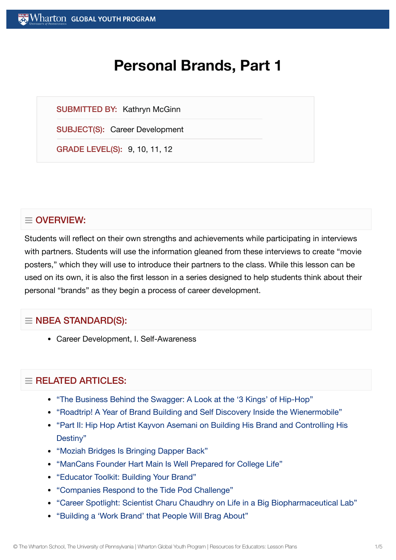# **Personal Brands, Part 1**

SUBMITTED BY: Kathryn McGinn

SUBJECT(S): Career Development

GRADE LEVEL(S): 9, 10, 11, 12

# $\equiv$  OVERVIEW:

Students will reflect on their own strengths and achievements while participating in interviews with partners. Students will use the information gleaned from these interviews to create "movie posters," which they will use to introduce their partners to the class. While this lesson can be used on its own, it is also the first lesson in a series designed to help students think about their personal "brands" as they begin a process of career development.

# $\equiv$  NBEA STANDARD(S):

Career Development, I. Self-Awareness

# $=$  RELATED ARTICLES:

- "The [Business Behind](https://globalyouth.wharton.upenn.edu/articles/business-behind-swagger-look-3-kings-hip-hop/) the Swagger: A Look at the '3 Kings' of Hip-Hop"
- "Roadtrip! A Year of Brand Building and Self [Discovery Inside](https://globalyouth.wharton.upenn.edu/articles/roadtrip-year-brand-building-self-discovery-inside-wienermobile/) the Wienermobile"
- "Part II: Hip Hop Artist Kayvon Asemani on Building His Brand and [Controlling](https://globalyouth.wharton.upenn.edu/articles/part-2-hip-hop-artist-kayvon-asemani-building-brand-controlling-destiny/) His Destiny"
- "Moziah [Bridges Is Bringing](https://globalyouth.wharton.upenn.edu/articles/moziah-bridges-bringing-dapper-back/) Dapper Back"
- ["ManCans Founder](https://globalyouth.wharton.upenn.edu/articles/hart-main-is-prepared-for-college-life/) Hart Main Is Well Prepared for College Life"
- ["Educator](https://globalyouth.wharton.upenn.edu/articles/december-2017-building-your-brand/) Toolkit: Building Your Brand"
- ["Companies Respond](https://globalyouth.wharton.upenn.edu/articles/companies-respond-tide-pod-challenge/) to the Tide Pod Challenge"
- "Career Spotlight: Scientist Charu Chaudhry on Life in a Big [Biopharmaceutical](https://globalyouth.wharton.upenn.edu/articles/career-spotlight-scientist-charu-chaudhry-on-life-in-a-big-biopharmaceutical-lab/) Lab"
- ["Building](https://globalyouth.wharton.upenn.edu/articles/a-work-brand-people-will-brag-about/) a 'Work Brand' that People Will Brag About"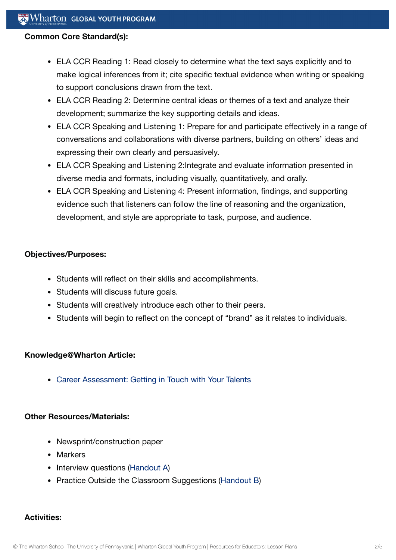#### **Common Core Standard(s):**

- ELA CCR Reading 1: Read closely to determine what the text says explicitly and to make logical inferences from it; cite specific textual evidence when writing or speaking to support conclusions drawn from the text.
- ELA CCR Reading 2: Determine central ideas or themes of a text and analyze their development; summarize the key supporting details and ideas.
- ELA CCR Speaking and Listening 1: Prepare for and participate effectively in a range of conversations and collaborations with diverse partners, building on others' ideas and expressing their own clearly and persuasively.
- ELA CCR Speaking and Listening 2:Integrate and evaluate information presented in diverse media and formats, including visually, quantitatively, and orally.
- ELA CCR Speaking and Listening 4: Present information, findings, and supporting evidence such that listeners can follow the line of reasoning and the organization, development, and style are appropriate to task, purpose, and audience.

#### **Objectives/Purposes:**

- Students will reflect on their skills and accomplishments.
- Students will discuss future goals.
- Students will creatively introduce each other to their peers.
- Students will begin to reflect on the concept of "brand" as it relates to individuals.

#### **Knowledge@Wharton Article:**

Career [Assessment:](https://globalyouth.wharton.upenn.edu/articles/career-assessment-getting-touch-talents/) Getting in Touch with Your Talents

#### **Other Resources/Materials:**

- Newsprint/construction paper
- Markers
- Interview questions [\(Handout](https://globalyouth.wharton.upenn.edu/wp-content/uploads/2012/01/Career-Development-10_handoutA.pdf) A)
- Practice Outside the Classroom Suggestions ([Handout](https://globalyouth.wharton.upenn.edu/wp-content/uploads/2012/01/Career-Development-10_Self.handoutB.pdf) B)

#### **Activities:**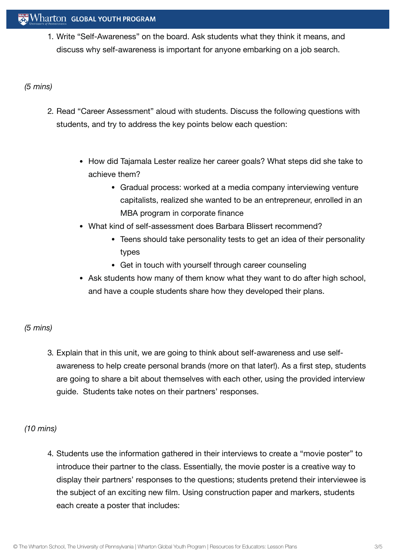1. Write "Self-Awareness" on the board. Ask students what they think it means, and discuss why self-awareness is important for anyone embarking on a job search.

## *(5 mins)*

- 2. Read "Career Assessment" aloud with students. Discuss the following questions with students, and try to address the key points below each question:
	- How did Tajamala Lester realize her career goals? What steps did she take to achieve them?
		- Gradual process: worked at a media company interviewing venture capitalists, realized she wanted to be an entrepreneur, enrolled in an MBA program in corporate finance
	- What kind of self-assessment does Barbara Blissert recommend?
		- Teens should take personality tests to get an idea of their personality types
		- Get in touch with yourself through career counseling
	- Ask students how many of them know what they want to do after high school, and have a couple students share how they developed their plans.

# *(5 mins)*

3. Explain that in this unit, we are going to think about self-awareness and use selfawareness to help create personal brands (more on that later!). As a first step, students are going to share a bit about themselves with each other, using the provided interview guide. Students take notes on their partners' responses.

# *(10 mins)*

4. Students use the information gathered in their interviews to create a "movie poster" to introduce their partner to the class. Essentially, the movie poster is a creative way to display their partners' responses to the questions; students pretend their interviewee is the subject of an exciting new film. Using construction paper and markers, students each create a poster that includes: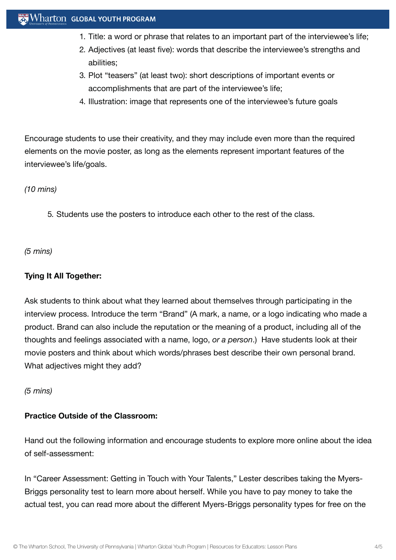- 1. Title: a word or phrase that relates to an important part of the interviewee's life;
- 2. Adjectives (at least five): words that describe the interviewee's strengths and abilities;
- 3. Plot "teasers" (at least two): short descriptions of important events or accomplishments that are part of the interviewee's life;
- 4. Illustration: image that represents one of the interviewee's future goals

Encourage students to use their creativity, and they may include even more than the required elements on the movie poster, as long as the elements represent important features of the interviewee's life/goals.

*(10 mins)*

5. Students use the posters to introduce each other to the rest of the class.

*(5 mins)*

### **Tying It All Together:**

Ask students to think about what they learned about themselves through participating in the interview process. Introduce the term "Brand" (A mark, a name, or a logo indicating who made a product. Brand can also include the reputation or the meaning of a product, including all of the thoughts and feelings associated with a name, logo, *or a person*.) Have students look at their movie posters and think about which words/phrases best describe their own personal brand. What adjectives might they add?

*(5 mins)*

#### **Practice Outside of the Classroom:**

Hand out the following information and encourage students to explore more online about the idea of self-assessment:

In "Career Assessment: Getting in Touch with Your Talents," Lester describes taking the Myers-Briggs personality test to learn more about herself. While you have to pay money to take the actual test, you can read more about the different Myers-Briggs personality types for free on the